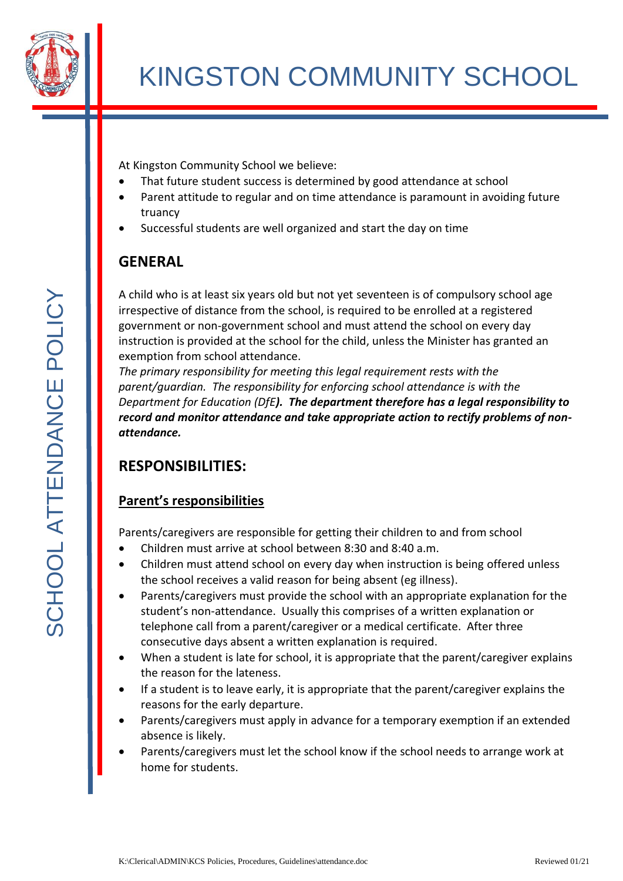

At Kingston Community School we believe:

- That future student success is determined by good attendance at school
- Parent attitude to regular and on time attendance is paramount in avoiding future truancy
- Successful students are well organized and start the day on time

# **GENERAL**

A child who is at least six years old but not yet seventeen is of compulsory school age irrespective of distance from the school, is required to be enrolled at a registered government or non-government school and must attend the school on every day instruction is provided at the school for the child, unless the Minister has granted an exemption from school attendance.

*The primary responsibility for meeting this legal requirement rests with the parent/guardian. The responsibility for enforcing school attendance is with the Department for Education (DfE). The department therefore has a legal responsibility to record and monitor attendance and take appropriate action to rectify problems of nonattendance.*

# **RESPONSIBILITIES:**

### **Parent's responsibilities**

Parents/caregivers are responsible for getting their children to and from school

- Children must arrive at school between 8:30 and 8:40 a.m.
- Children must attend school on every day when instruction is being offered unless the school receives a valid reason for being absent (eg illness).
- Parents/caregivers must provide the school with an appropriate explanation for the student's non-attendance. Usually this comprises of a written explanation or telephone call from a parent/caregiver or a medical certificate. After three consecutive days absent a written explanation is required.
- When a student is late for school, it is appropriate that the parent/caregiver explains the reason for the lateness.
- If a student is to leave early, it is appropriate that the parent/caregiver explains the reasons for the early departure.
- Parents/caregivers must apply in advance for a temporary exemption if an extended absence is likely.
- Parents/caregivers must let the school know if the school needs to arrange work at home for students.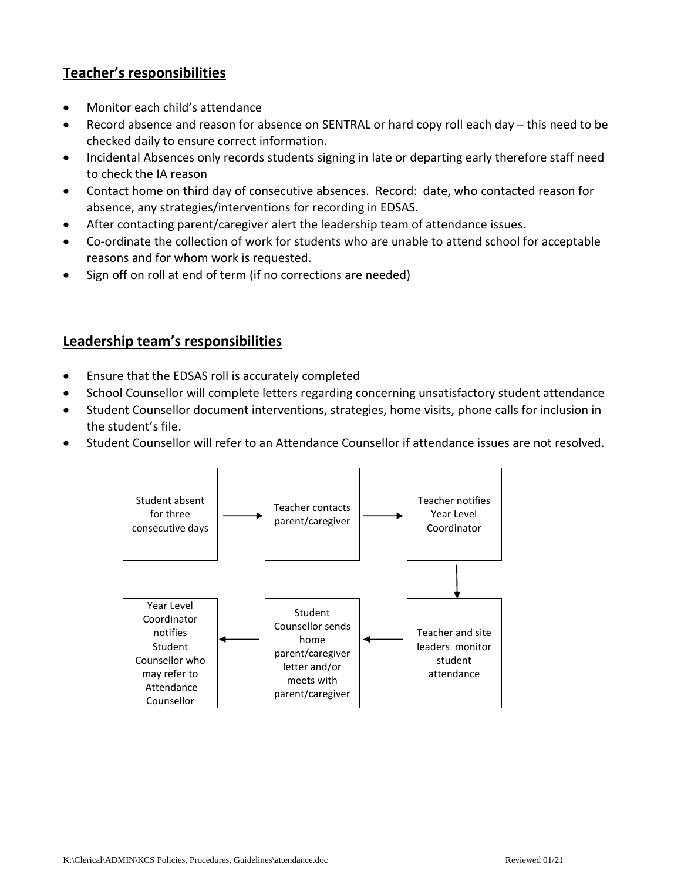### **Teacher's responsibilities**

- Monitor each child's attendance
- Record absence and reason for absence on SENTRAL or hard copy roll each day this need to be checked daily to ensure correct information.
- Incidental Absences only records students signing in late or departing early therefore staff need to check the IA reason
- Contact home on third day of consecutive absences. Record: date, who contacted reason for absence, any strategies/interventions for recording in EDSAS.
- After contacting parent/caregiver alert the leadership team of attendance issues.
- Co-ordinate the collection of work for students who are unable to attend school for acceptable reasons and for whom work is requested.
- Sign off on roll at end of term (if no corrections are needed)

#### **Leadership team's responsibilities**

- Ensure that the EDSAS roll is accurately completed
- School Counsellor will complete letters regarding concerning unsatisfactory student attendance
- Student Counsellor document interventions, strategies, home visits, phone calls for inclusion in the student's file.
- Student Counsellor will refer to an Attendance Counsellor if attendance issues are not resolved.